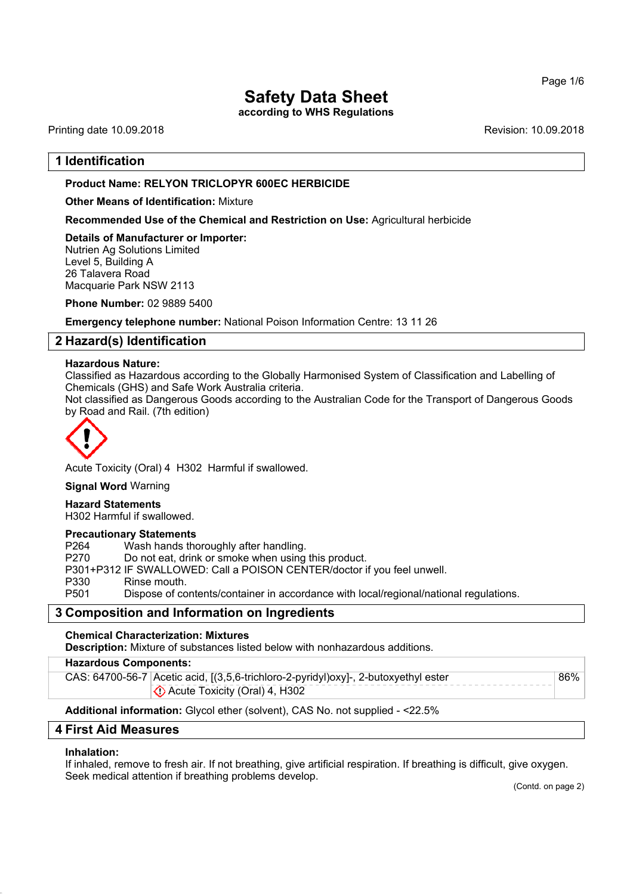**according to WHS Regulations**

Printing date 10.09.2018 **Revision: 10.09.2018** Revision: 10.09.2018

# **1 Identification**

## **Product Name: RELYON TRICLOPYR 600EC HERBICIDE**

**Other Means of Identification:** Mixture

**Recommended Use of the Chemical and Restriction on Use:** Agricultural herbicide

**Details of Manufacturer or Importer:** Nutrien Ag Solutions Limited Level 5, Building A 26 Talavera Road Macquarie Park NSW 2113

**Phone Number:** 02 9889 5400

**Emergency telephone number:** National Poison Information Centre: 13 11 26

# **2 Hazard(s) Identification**

#### **Hazardous Nature:**

Classified as Hazardous according to the Globally Harmonised System of Classification and Labelling of Chemicals (GHS) and Safe Work Australia criteria.

Not classified as Dangerous Goods according to the Australian Code for the Transport of Dangerous Goods by Road and Rail. (7th edition)



Acute Toxicity (Oral) 4 H302 Harmful if swallowed.

**Signal Word** Warning

#### **Hazard Statements**

H302 Harmful if swallowed.

#### **Precautionary Statements**

P264 Wash hands thoroughly after handling.

P270 Do not eat, drink or smoke when using this product.

P301+P312 IF SWALLOWED: Call a POISON CENTER/doctor if you feel unwell.

P330 Rinse mouth.

P501 Dispose of contents/container in accordance with local/regional/national regulations.

## **3 Composition and Information on Ingredients**

**Chemical Characterization: Mixtures**

**Description:** Mixture of substances listed below with nonhazardous additions.

#### **Hazardous Components:**

CAS: 64700-56-7 Acetic acid, [(3,5,6-trichloro-2-pyridyl)oxy]-, 2-butoxyethyl ester Acute Toxicity (Oral) 4, H302 86%

#### **Additional information:** Glycol ether (solvent), CAS No. not supplied - <22.5%

## **4 First Aid Measures**

#### **Inhalation:**

If inhaled, remove to fresh air. If not breathing, give artificial respiration. If breathing is difficult, give oxygen. Seek medical attention if breathing problems develop.

(Contd. on page 2)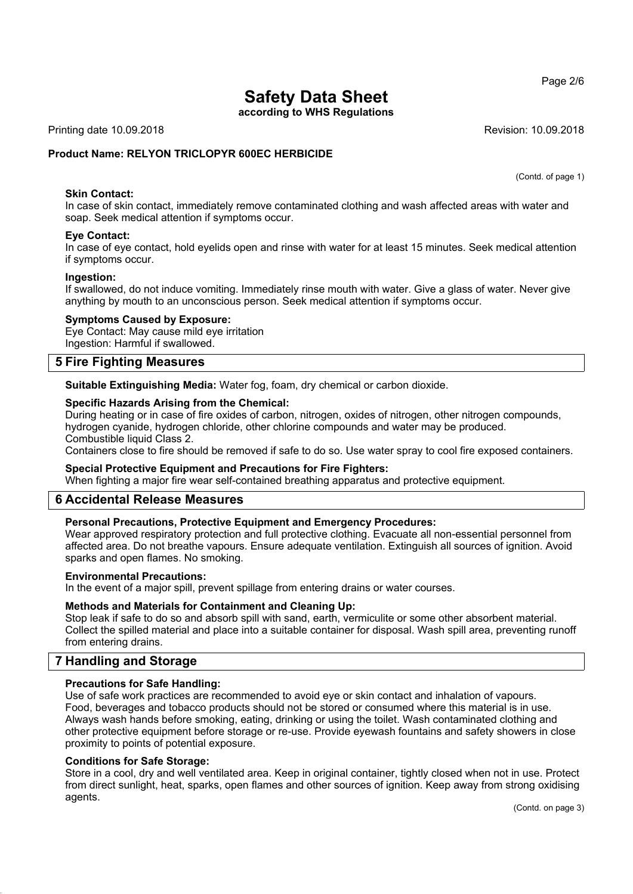**according to WHS Regulations**

Printing date 10.09.2018 **Revision: 10.09.2018** Revision: 10.09.2018

## **Product Name: RELYON TRICLOPYR 600EC HERBICIDE**

(Contd. of page 1)

### **Skin Contact:**

In case of skin contact, immediately remove contaminated clothing and wash affected areas with water and soap. Seek medical attention if symptoms occur.

#### **Eye Contact:**

In case of eye contact, hold eyelids open and rinse with water for at least 15 minutes. Seek medical attention if symptoms occur.

#### **Ingestion:**

If swallowed, do not induce vomiting. Immediately rinse mouth with water. Give a glass of water. Never give anything by mouth to an unconscious person. Seek medical attention if symptoms occur.

#### **Symptoms Caused by Exposure:**

Eye Contact: May cause mild eye irritation Ingestion: Harmful if swallowed.

# **5 Fire Fighting Measures**

**Suitable Extinguishing Media:** Water fog, foam, dry chemical or carbon dioxide.

#### **Specific Hazards Arising from the Chemical:**

During heating or in case of fire oxides of carbon, nitrogen, oxides of nitrogen, other nitrogen compounds, hydrogen cyanide, hydrogen chloride, other chlorine compounds and water may be produced. Combustible liquid Class 2.

Containers close to fire should be removed if safe to do so. Use water spray to cool fire exposed containers.

#### **Special Protective Equipment and Precautions for Fire Fighters:**

When fighting a major fire wear self-contained breathing apparatus and protective equipment.

## **6 Accidental Release Measures**

#### **Personal Precautions, Protective Equipment and Emergency Procedures:**

Wear approved respiratory protection and full protective clothing. Evacuate all non-essential personnel from affected area. Do not breathe vapours. Ensure adequate ventilation. Extinguish all sources of ignition. Avoid sparks and open flames. No smoking.

#### **Environmental Precautions:**

In the event of a major spill, prevent spillage from entering drains or water courses.

#### **Methods and Materials for Containment and Cleaning Up:**

Stop leak if safe to do so and absorb spill with sand, earth, vermiculite or some other absorbent material. Collect the spilled material and place into a suitable container for disposal. Wash spill area, preventing runoff from entering drains.

# **7 Handling and Storage**

#### **Precautions for Safe Handling:**

Use of safe work practices are recommended to avoid eye or skin contact and inhalation of vapours. Food, beverages and tobacco products should not be stored or consumed where this material is in use. Always wash hands before smoking, eating, drinking or using the toilet. Wash contaminated clothing and other protective equipment before storage or re-use. Provide eyewash fountains and safety showers in close proximity to points of potential exposure.

#### **Conditions for Safe Storage:**

Store in a cool, dry and well ventilated area. Keep in original container, tightly closed when not in use. Protect from direct sunlight, heat, sparks, open flames and other sources of ignition. Keep away from strong oxidising agents.

#### Page 2/6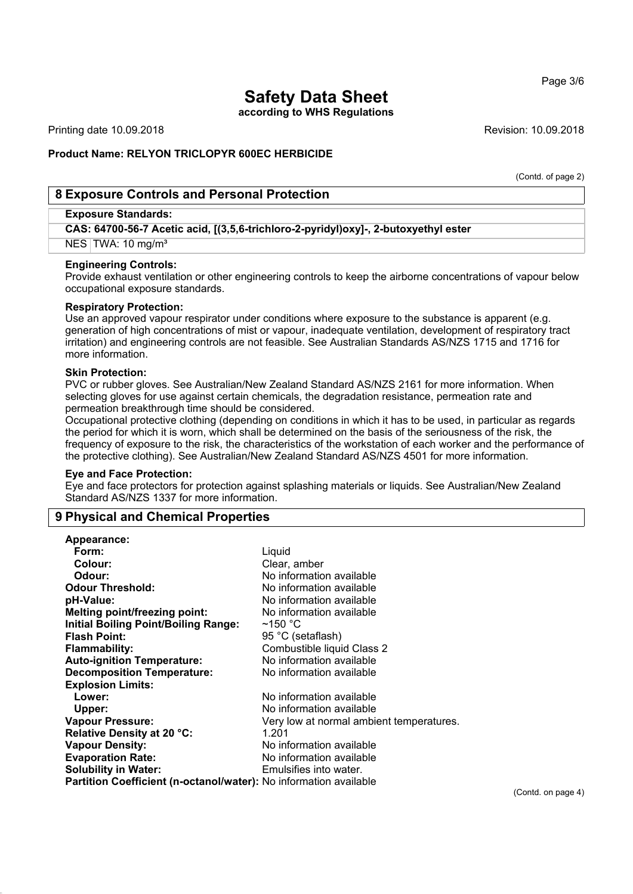#### Page 3/6

# **Safety Data Sheet**

**according to WHS Regulations**

Printing date 10.09.2018 **Revision: 10.09.2018** Revision: 10.09.2018

### **Product Name: RELYON TRICLOPYR 600EC HERBICIDE**

(Contd. of page 2)

# **8 Exposure Controls and Personal Protection**

#### **Exposure Standards:**

**CAS: 64700-56-7 Acetic acid, [(3,5,6-trichloro-2-pyridyl)oxy]-, 2-butoxyethyl ester**

NES TWA: 10 mg/m<sup>3</sup>

#### **Engineering Controls:**

Provide exhaust ventilation or other engineering controls to keep the airborne concentrations of vapour below occupational exposure standards.

#### **Respiratory Protection:**

Use an approved vapour respirator under conditions where exposure to the substance is apparent (e.g. generation of high concentrations of mist or vapour, inadequate ventilation, development of respiratory tract irritation) and engineering controls are not feasible. See Australian Standards AS/NZS 1715 and 1716 for more information.

#### **Skin Protection:**

PVC or rubber gloves. See Australian/New Zealand Standard AS/NZS 2161 for more information. When selecting gloves for use against certain chemicals, the degradation resistance, permeation rate and permeation breakthrough time should be considered.

Occupational protective clothing (depending on conditions in which it has to be used, in particular as regards the period for which it is worn, which shall be determined on the basis of the seriousness of the risk, the frequency of exposure to the risk, the characteristics of the workstation of each worker and the performance of the protective clothing). See Australian/New Zealand Standard AS/NZS 4501 for more information.

#### **Eye and Face Protection:**

Eye and face protectors for protection against splashing materials or liquids. See Australian/New Zealand Standard AS/NZS 1337 for more information.

## **9 Physical and Chemical Properties**

| Liquid                                                                   |
|--------------------------------------------------------------------------|
| Clear, amber                                                             |
| No information available                                                 |
| No information available                                                 |
| No information available                                                 |
| No information available                                                 |
| $~150~^{\circ}$ C                                                        |
| 95 °C (setaflash)                                                        |
| Combustible liquid Class 2                                               |
| No information available                                                 |
| No information available                                                 |
|                                                                          |
| No information available                                                 |
| No information available                                                 |
| Very low at normal ambient temperatures.                                 |
| 1.201                                                                    |
| No information available                                                 |
| No information available                                                 |
| Emulsifies into water.                                                   |
| <b>Partition Coefficient (n-octanol/water):</b> No information available |
|                                                                          |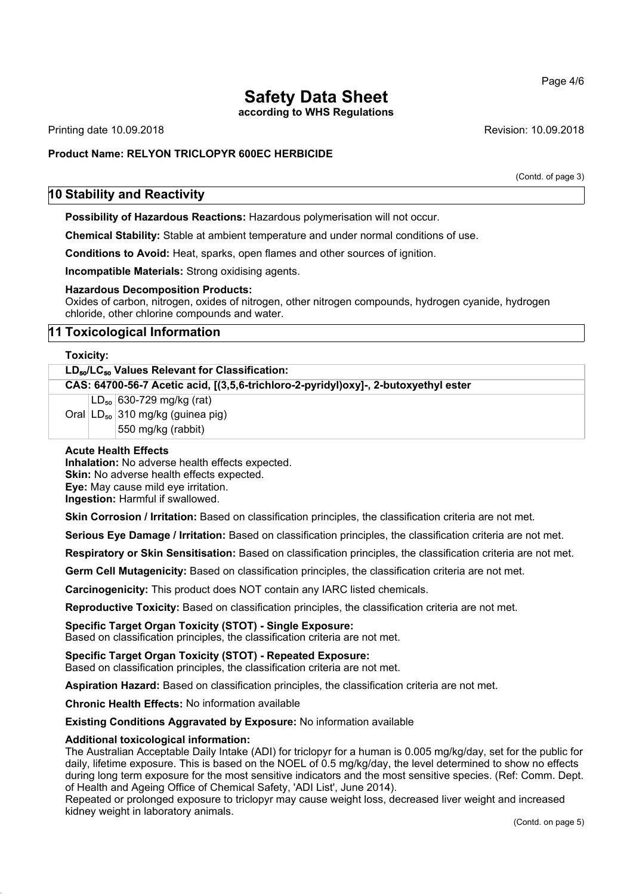**according to WHS Regulations**

Printing date 10.09.2018 **Printing date 10.09.2018** Revision: 10.09.2018

# **Product Name: RELYON TRICLOPYR 600EC HERBICIDE**

(Contd. of page 3)

# **10 Stability and Reactivity**

**Possibility of Hazardous Reactions:** Hazardous polymerisation will not occur.

**Chemical Stability:** Stable at ambient temperature and under normal conditions of use.

**Conditions to Avoid:** Heat, sparks, open flames and other sources of ignition.

**Incompatible Materials:** Strong oxidising agents.

#### **Hazardous Decomposition Products:**

Oxides of carbon, nitrogen, oxides of nitrogen, other nitrogen compounds, hydrogen cyanide, hydrogen chloride, other chlorine compounds and water.

# **11 Toxicological Information**

#### **Toxicity:**

| LD <sub>50</sub> /LC <sub>50</sub> Values Relevant for Classification:              |  |                                         |  |
|-------------------------------------------------------------------------------------|--|-----------------------------------------|--|
| CAS: 64700-56-7 Acetic acid, [(3,5,6-trichloro-2-pyridyl)oxy]-, 2-butoxyethyl ester |  |                                         |  |
|                                                                                     |  | $LD_{50}$ 630-729 mg/kg (rat)           |  |
|                                                                                     |  | Oral $ LD_{50} $ 310 mg/kg (guinea pig) |  |
|                                                                                     |  | 550 mg/kg (rabbit)                      |  |
|                                                                                     |  |                                         |  |

### **Acute Health Effects**

**Inhalation:** No adverse health effects expected. **Skin:** No adverse health effects expected. **Eye:** May cause mild eye irritation. **Ingestion:** Harmful if swallowed.

**Skin Corrosion / Irritation:** Based on classification principles, the classification criteria are not met.

**Serious Eye Damage / Irritation:** Based on classification principles, the classification criteria are not met.

**Respiratory or Skin Sensitisation:** Based on classification principles, the classification criteria are not met.

**Germ Cell Mutagenicity:** Based on classification principles, the classification criteria are not met.

**Carcinogenicity:** This product does NOT contain any IARC listed chemicals.

**Reproductive Toxicity:** Based on classification principles, the classification criteria are not met.

# **Specific Target Organ Toxicity (STOT) - Single Exposure:**

Based on classification principles, the classification criteria are not met.

## **Specific Target Organ Toxicity (STOT) - Repeated Exposure:**

Based on classification principles, the classification criteria are not met.

**Aspiration Hazard:** Based on classification principles, the classification criteria are not met.

**Chronic Health Effects:** No information available

**Existing Conditions Aggravated by Exposure:** No information available

#### **Additional toxicological information:**

The Australian Acceptable Daily Intake (ADI) for triclopyr for a human is 0.005 mg/kg/day, set for the public for daily, lifetime exposure. This is based on the NOEL of 0.5 mg/kg/day, the level determined to show no effects during long term exposure for the most sensitive indicators and the most sensitive species. (Ref: Comm. Dept. of Health and Ageing Office of Chemical Safety, 'ADI List', June 2014).

Repeated or prolonged exposure to triclopyr may cause weight loss, decreased liver weight and increased kidney weight in laboratory animals.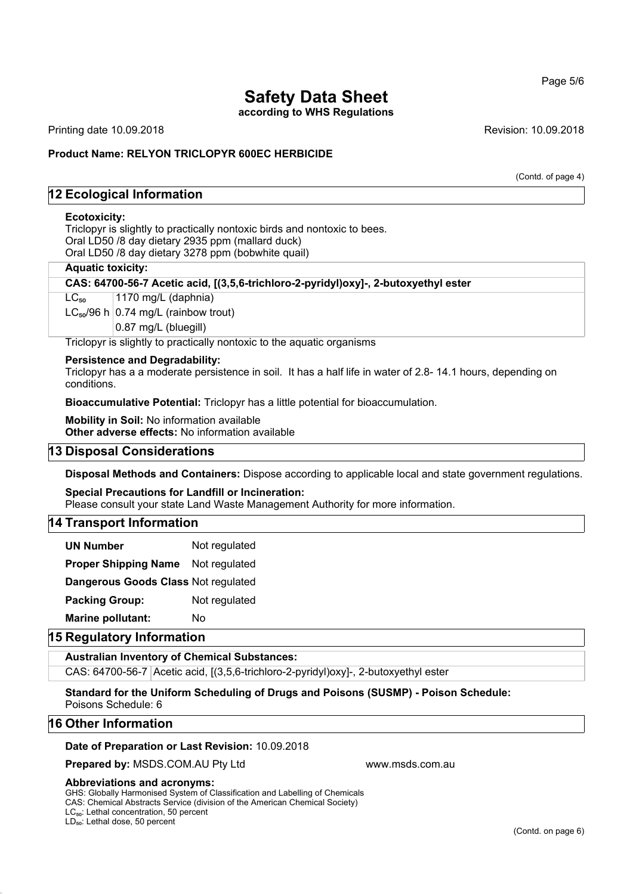**according to WHS Regulations**

Printing date 10.09.2018 **Revision: 10.09.2018** Revision: 10.09.2018

#### **Product Name: RELYON TRICLOPYR 600EC HERBICIDE**

(Contd. of page 4)

# **12 Ecological Information**

#### **Ecotoxicity:**

Triclopyr is slightly to practically nontoxic birds and nontoxic to bees. Oral LD50 /8 day dietary 2935 ppm (mallard duck) Oral LD50 /8 day dietary 3278 ppm (bobwhite quail)

#### **Aquatic toxicity:**

**CAS: 64700-56-7 Acetic acid, [(3,5,6-trichloro-2-pyridyl)oxy]-, 2-butoxyethyl ester**

 $LC_{50}$  | 1170 mg/L (daphnia)

 $LC_{50}/96$  h  $0.74$  mg/L (rainbow trout)

0.87 mg/L (bluegill)

Triclopyr is slightly to practically nontoxic to the aquatic organisms

#### **Persistence and Degradability:**

Triclopyr has a a moderate persistence in soil. It has a half life in water of 2.8- 14.1 hours, depending on conditions.

**Bioaccumulative Potential:** Triclopyr has a little potential for bioaccumulation.

**Mobility in Soil:** No information available **Other adverse effects:** No information available

### **13 Disposal Considerations**

**Disposal Methods and Containers:** Dispose according to applicable local and state government regulations.

# **Special Precautions for Landfill or Incineration:**

Please consult your state Land Waste Management Authority for more information.

### **14 Transport Information**

**UN Number** Not regulated

**Proper Shipping Name** Not regulated

**Dangerous Goods Class** Not regulated

**Packing Group:** Not regulated

**Marine pollutant:** No

### **15 Regulatory Information**

#### **Australian Inventory of Chemical Substances:**

CAS: 64700-56-7 Acetic acid, [(3,5,6-trichloro-2-pyridyl)oxy]-, 2-butoxyethyl ester

**Standard for the Uniform Scheduling of Drugs and Poisons (SUSMP) - Poison Schedule:** Poisons Schedule: 6

#### **16 Other Information**

#### **Date of Preparation or Last Revision:** 10.09.2018

**Prepared by: MSDS.COM.AU Pty Ltd www.msds.com.au www.msds.com.au** 

#### **Abbreviations and acronyms:**

GHS: Globally Harmonised System of Classification and Labelling of Chemicals CAS: Chemical Abstracts Service (division of the American Chemical Society)

LC<sub>50</sub>: Lethal concentration, 50 percent LD<sub>50</sub>: Lethal dose, 50 percent